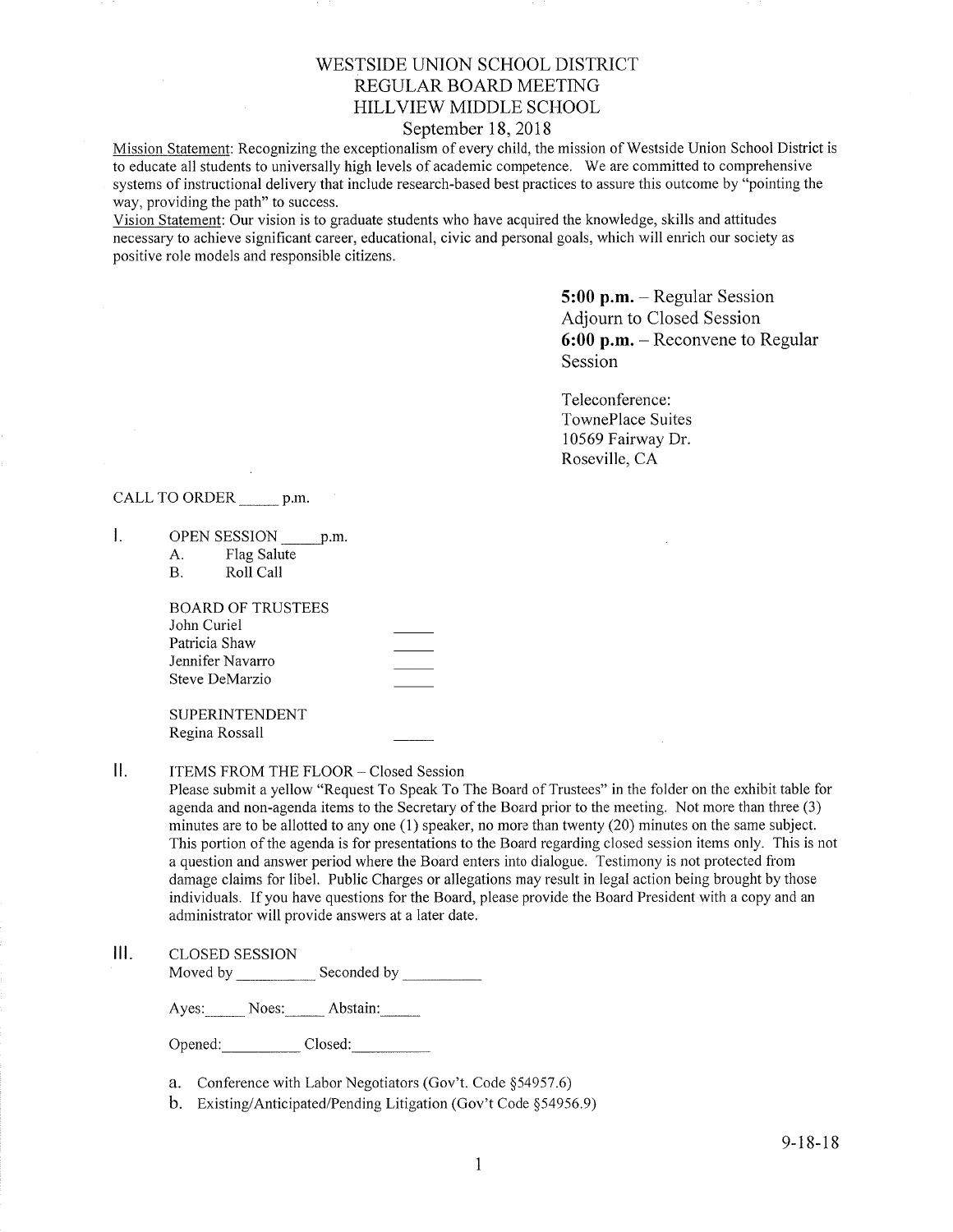## WESTSIDE UNION SCHOOL DISTRICT REGULAR BOARD MEETING HILLVIEW MIDDLE SCHOOL

## September 18,2018

Mission Statement: Recognizing the exceptionalism of every child, the mission of Westside Union School District is to educate all students to universally high levels of academic competence. We are committed to comprehensive systems of instructional delivery that include research-based best practices to assure this outcome by "pointing the way, providing the path" to success.

Vision Statement: Our vision is to graduate students who have acquired the knowledge, skills and attitudes necessary to achieve significant career, educational, civic and personal goals, which will enrich our society as positive role models and responsible citizens.

> 5:00 p.m. - Regular Session Adjourn to Closed Session 6:00 p.m. - Reconvene to Regular Session

Teleconference: TownePlace Suites 10569 Fairway Dr. Roseville, CA

### CALL TO ORDER p.m.

- $\mathbf{I}$ . OPEN SESSION p.m.
	- A. Flag Salute<br>B. Roll Call

| BOARD OF TRUSTEES |  |
|-------------------|--|
| John Curiel       |  |
| Patricia Shaw     |  |
| Jennifer Navarro  |  |
| Steve DeMarzio    |  |
|                   |  |

SUPERINTENDENT Regina Rossall

II. ITEMS FROM THE FLOOR - Closed Session

Please submit a yellow "Request To Speak To The Board of Trustees" in the folder on the exhibit table for agenda and non-agenda items to the Secretary of the Board prior to the meeting. Not more than three (3) minutes are to be allotted to any one (1) speaker, no more than twenty (20) minutes on the same subject. This portion of the agenda is for presentations to the Board regarding closed session items only. This is not a question and answer period where the Board enters into dialogue. Testimony is not protected from damage claims for libel. Public Charges or allegations may result in legal action being brought by those individuals. If you have questions for the Board, please provide the Board President with a copy and an administrator will provide answers at alater date.

### lll. cLosED sESSroN

Moved by Seconded by

Ayes: Noes: Abstain:

Opened: Closed:

- a. Conference with Labor Negotiators (Gov't. Code \$54957.6)
- b. Existing/Anticipated/Pending Litigation (Gov't Code \$54956.9)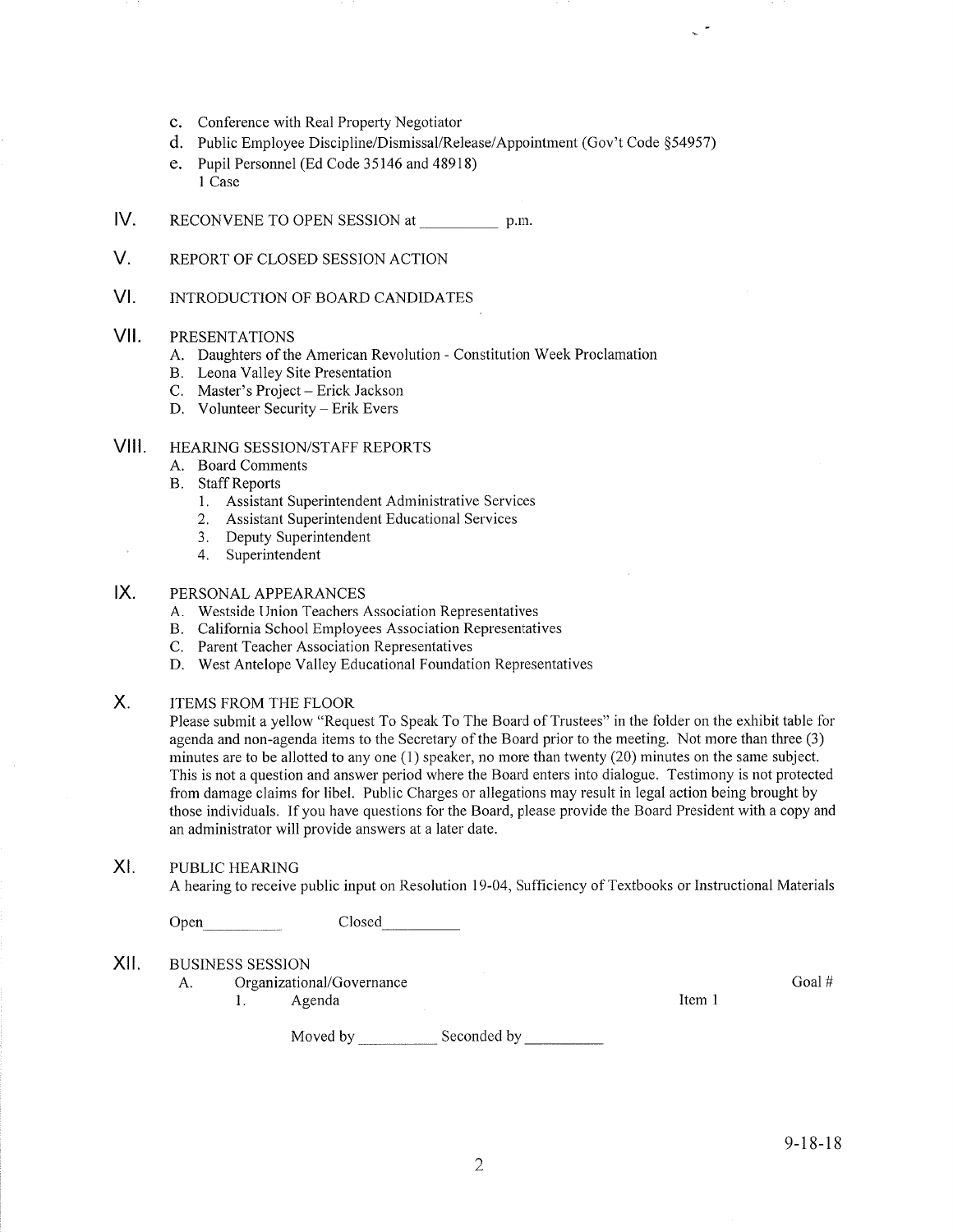- c. Conference with Real Property Negotiator
- d. Public Employee Discipline/Dismissal/Release/Appointment (Gov't Code \$54957)
- e. Pupil Personnel (Ed Code 35146 and 48918) I Case
- IV. RECONVENE TO OPEN SESSION at p.m.
- V. REPORT OF CLOSED SESSION ACTION
- $VI.$ INTRODUCTION OF BOARD CANDIDATES

#### vil PRESENTATIONS

- A. Daughters of the American Revolution Constitution Week Proclamation B. Leona Valley Site Presentation C. Master's Project Erick Jackson D. Volunteer Security Erik Evers
- 
- 
- 

## VIII. HEARING SESSION/STAFF REPORTS

- A. Board Comments
- B. Staff Reports
	- 1. Assistant Superintendent Administrative Services
	- 2. Assistant Superintendent Educational Services
	- 3. Deputy Superintendent
	- 4. Superintendent

## IX. PERSONAL APPEARANCES

- A. Westside Union Teachers Association Representatives
- B. California School Employees Association Representatives C. Parent Teacher Association Representatives
- 
- D. West Antelope Valley Educational Foundation Representatives

Moved by \_\_\_\_\_\_\_\_\_\_\_\_\_\_\_ Seconded by

ITEMS FROM THE FLOOR X

> Please submit a yellow "Request To Speak To The Board of Trustees" in the folder on the exhibit table for agenda and non-agenda items to the Secretary of the Board prior to the meeting. Not more than three (3) minutes are to be allotted to any one (1) speaker, no more than twenty (20) minutes on the same subject. This is not a question and answer period where the Board enters into dialogue. Testimony is not protected from damage claims for libel. Public Charges or allegations may result in legal action being brought by those individuals. If you have questions for the Board, please provide the Board President with a copy and an administrator will provide answers at a later date.

### XI. PUBLIC HEARING

A hearing to receive public input on Resolution 19-04, Sufficiency of Textbooks or Instructional Materials

Open- Closed

| XII. | <b>BUSINESS SESSION</b> |  |
|------|-------------------------|--|
|      |                         |  |

- A. Organizational/Governance
	- 1. Agenda

Item I

Goal #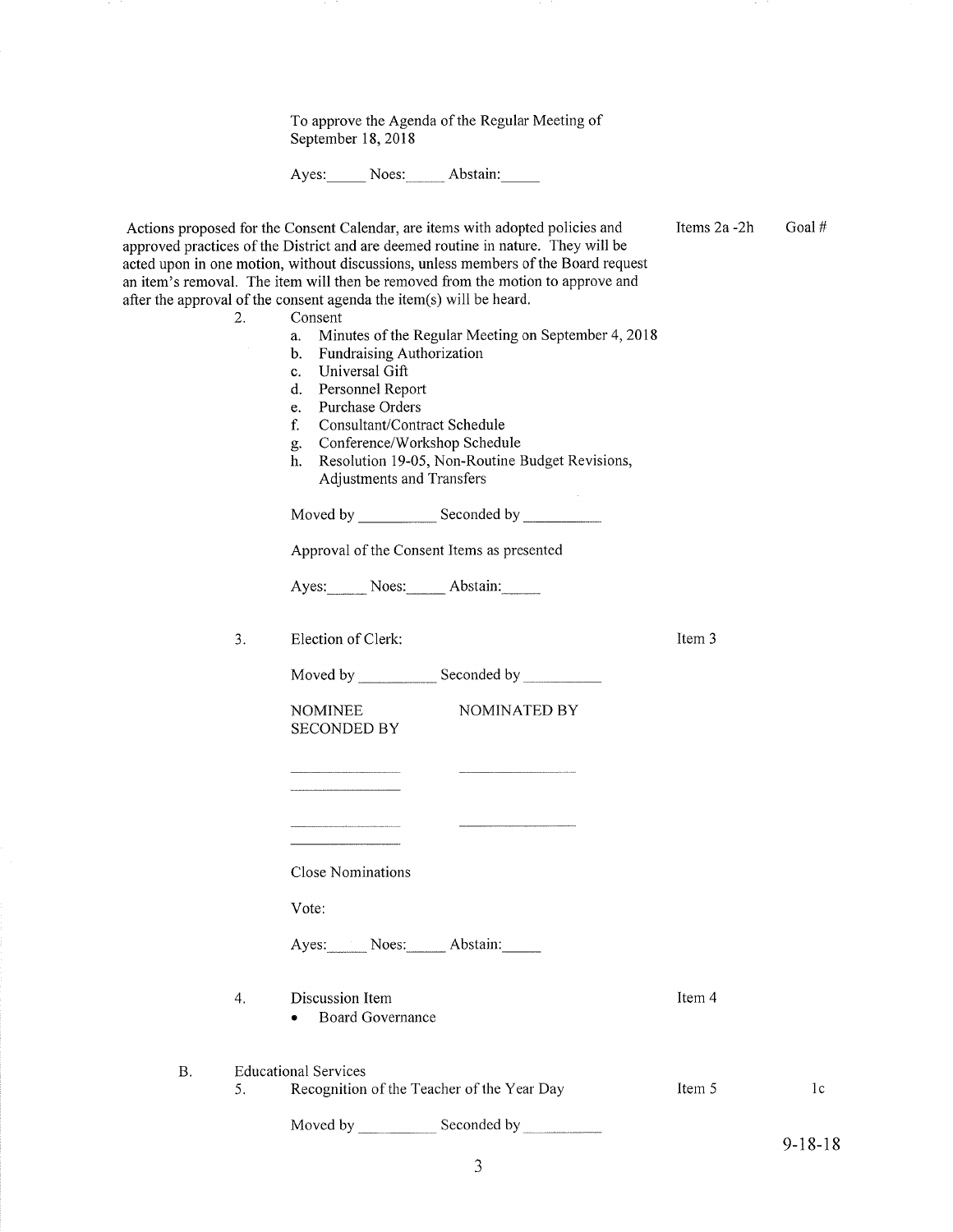To approve the Agenda of the Regular Meeting of September 18,2018

Ayes: Noes: Abstain:

| 2.        | Actions proposed for the Consent Calendar, are items with adopted policies and<br>approved practices of the District and are deemed routine in nature. They will be<br>acted upon in one motion, without discussions, unless members of the Board request<br>an item's removal. The item will then be removed from the motion to approve and<br>after the approval of the consent agenda the item(s) will be heard.<br>Consent<br>Minutes of the Regular Meeting on September 4, 2018<br>a.<br><b>Fundraising Authorization</b><br>$\mathbf{b}$ .<br>Universal Gift<br>$c_{-}$<br>Personnel Report<br>d.<br>Purchase Orders<br>e.<br>Consultant/Contract Schedule<br>f.<br>Conference/Workshop Schedule<br>g.<br>Resolution 19-05, Non-Routine Budget Revisions,<br>h.<br>Adjustments and Transfers<br>Approval of the Consent Items as presented<br>Ayes: Noes: Abstain: | Items 2a -2h | Goal#          |
|-----------|---------------------------------------------------------------------------------------------------------------------------------------------------------------------------------------------------------------------------------------------------------------------------------------------------------------------------------------------------------------------------------------------------------------------------------------------------------------------------------------------------------------------------------------------------------------------------------------------------------------------------------------------------------------------------------------------------------------------------------------------------------------------------------------------------------------------------------------------------------------------------|--------------|----------------|
| 3.        | Election of Clerk:                                                                                                                                                                                                                                                                                                                                                                                                                                                                                                                                                                                                                                                                                                                                                                                                                                                        | Item 3       |                |
|           |                                                                                                                                                                                                                                                                                                                                                                                                                                                                                                                                                                                                                                                                                                                                                                                                                                                                           |              |                |
|           | NOMINATED BY<br><b>NOMINEE</b><br><b>SECONDED BY</b>                                                                                                                                                                                                                                                                                                                                                                                                                                                                                                                                                                                                                                                                                                                                                                                                                      |              |                |
|           |                                                                                                                                                                                                                                                                                                                                                                                                                                                                                                                                                                                                                                                                                                                                                                                                                                                                           |              |                |
|           |                                                                                                                                                                                                                                                                                                                                                                                                                                                                                                                                                                                                                                                                                                                                                                                                                                                                           |              |                |
|           | <b>Close Nominations</b>                                                                                                                                                                                                                                                                                                                                                                                                                                                                                                                                                                                                                                                                                                                                                                                                                                                  |              |                |
|           | Vote:                                                                                                                                                                                                                                                                                                                                                                                                                                                                                                                                                                                                                                                                                                                                                                                                                                                                     |              |                |
|           | Ayes: Noes: Abstain:                                                                                                                                                                                                                                                                                                                                                                                                                                                                                                                                                                                                                                                                                                                                                                                                                                                      |              |                |
| 4.        | Discussion Item<br><b>Board Governance</b>                                                                                                                                                                                                                                                                                                                                                                                                                                                                                                                                                                                                                                                                                                                                                                                                                                | Item 4       |                |
| <b>B.</b> | <b>Educational Services</b>                                                                                                                                                                                                                                                                                                                                                                                                                                                                                                                                                                                                                                                                                                                                                                                                                                               |              |                |
| 5.        | Recognition of the Teacher of the Year Day                                                                                                                                                                                                                                                                                                                                                                                                                                                                                                                                                                                                                                                                                                                                                                                                                                | Item 5       | 1 <sub>c</sub> |
|           | Moved by Seconded by Seconded by                                                                                                                                                                                                                                                                                                                                                                                                                                                                                                                                                                                                                                                                                                                                                                                                                                          |              |                |
|           |                                                                                                                                                                                                                                                                                                                                                                                                                                                                                                                                                                                                                                                                                                                                                                                                                                                                           |              | $9 - 18 - 18$  |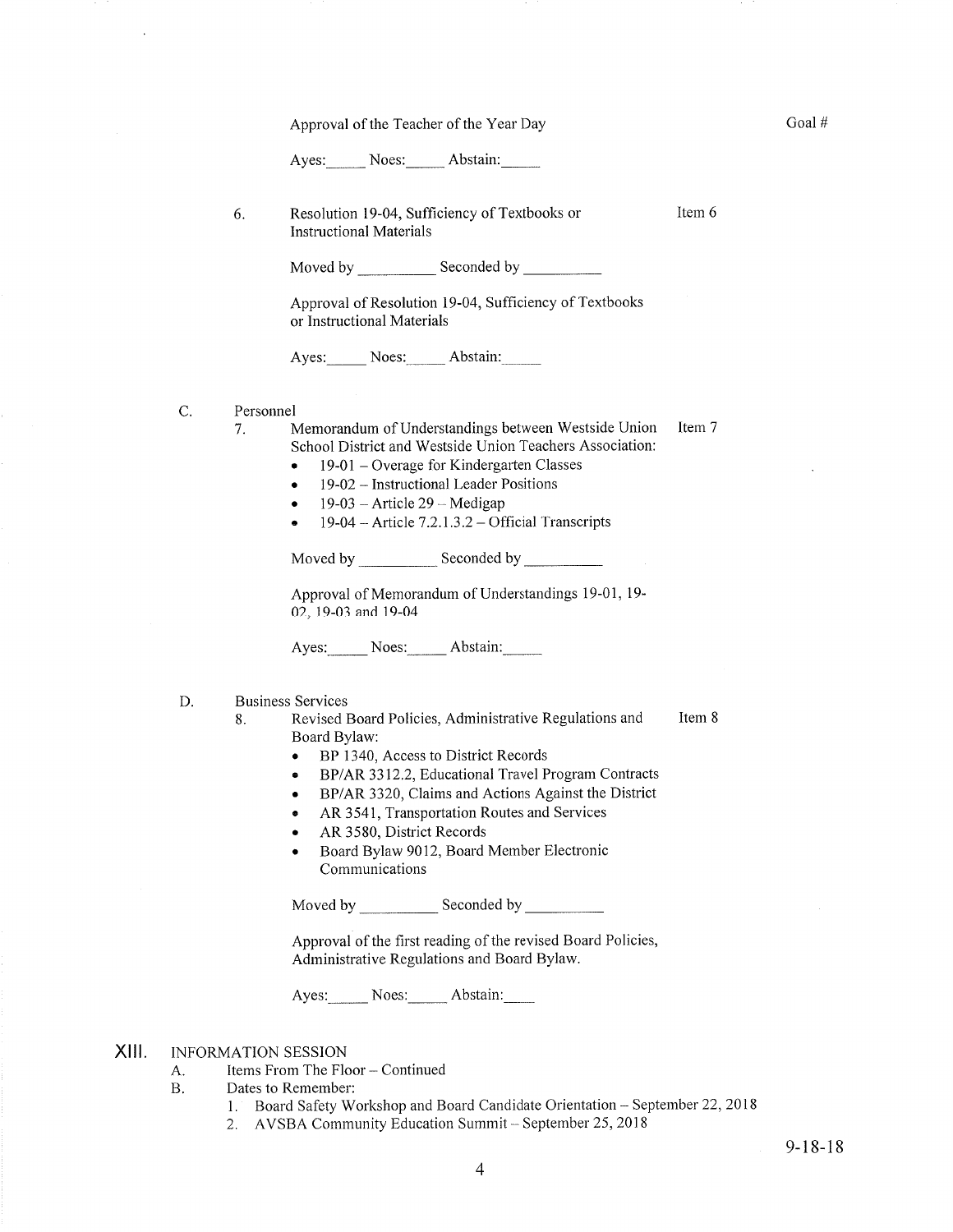Approval of the Teacher of the Year Day

Ayes: Noes: Abstain:

6 Resolution 19-04, Sufficiency of Textbooks or Instructional Materials

Moved by \_\_\_\_\_\_\_\_\_\_\_\_\_ Seconded by

Approval of Resolution 19-04, Sufficiency of Textbooks or Instructional Materials

Ayes: Noes: Abstain:

- C Personnel
	- Item 7 7. Memorandum of Understandings between Westside Union School District and Westside Union Teachers Association:
		- $\bullet$  19-01 Overage for Kindergarten Classes
		- 19-02 Instructional Leader Positions
		- $\bullet$  19-03 Article 29 Medigap
		- $\bullet$  19-04 Article 7.2.1.3.2 Official Transcripts

Moved by \_\_\_\_\_\_\_\_\_\_\_\_\_ Seconded by

Approval of Memorandum of Understandings 19-01, 19- 02, 19-03 and 19-04

Ayes: Noes: Abstain:

Business Services D

- Item 8 8. Revised Board Policies, Administrative Regulations and Board Bylaw:
	- BP 1340, Access to District Records
	- . BP/AR 3312.2, Educational Travel Program Contracts
	- . BP/AR 3320, Claims and Actions Against the District
	- o AR 3541, Transportation Routes and Services
	- AR 3580, District Records
	- Board Bylaw 9012, Board Member Electronic Communications

Moved by Seconded by Seconded by Seconded by Seconded by Seconded by Seconded by Seconded by Seconded by Seconded by Seconded by Seconded by Seconded by Seconded by Seconded by Seconded by Seconded by Seconded by Seconded

Approval of the first reading of the revised Board Policies, Administrative Regulations and Board Bylaw.

Ayes: Noes: Abstain:

INFORMATION SESSION XIII.

- A. Items From The Floor Continued<br>B. Dates to Remember:
- - 1. Board Safety Workshop and Board Candidate Orientation September 22, 2018
	- 2. AVSBA Community Education Summit September 25, 2018

Goal #

Item 6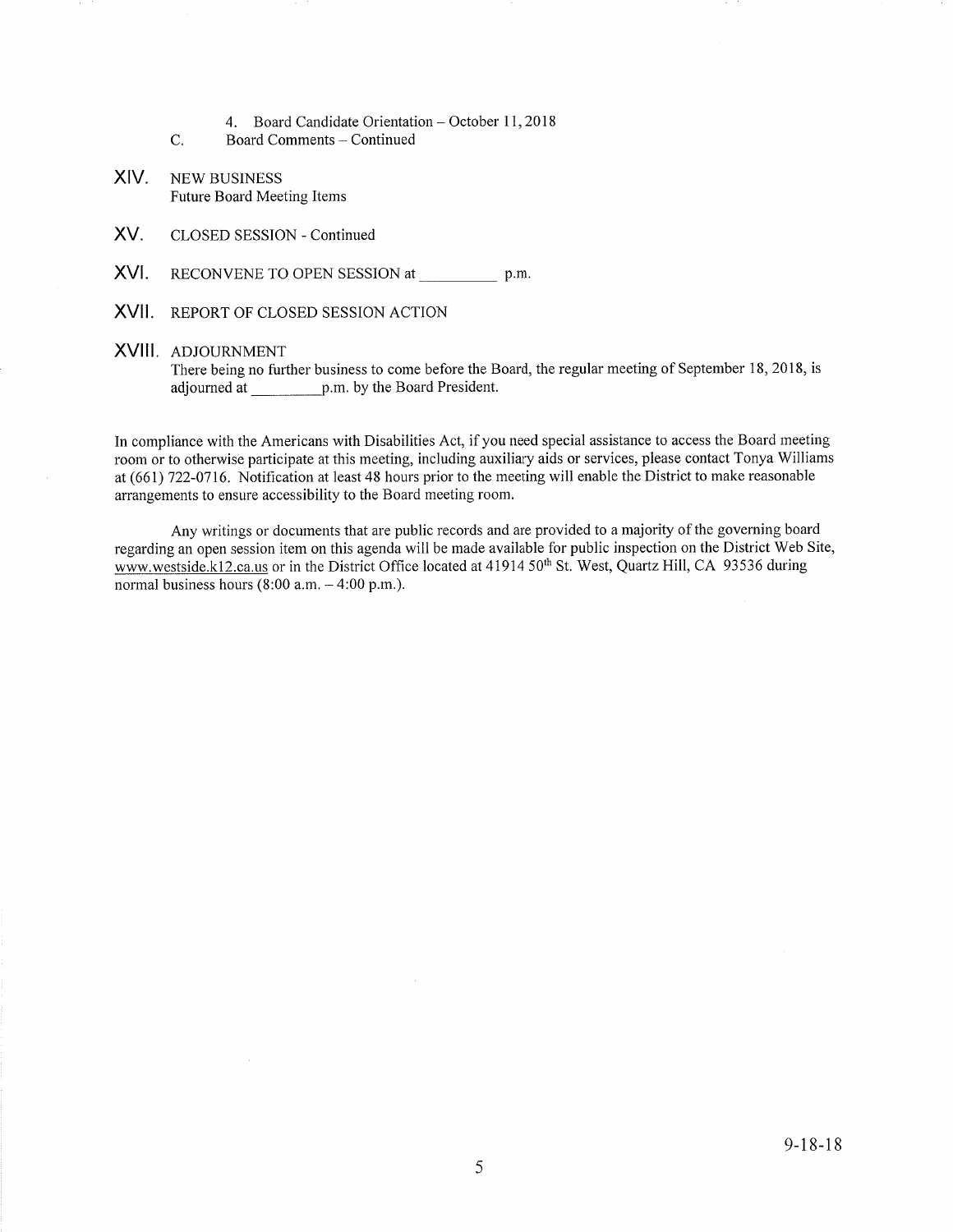- 4. Board Candidate Orientation October 11, 2018
- c. Board Comments - Continued
- XIV. NEw BUSINESS Future Board Meeting Items
- XV. CLOSED SESSION - Continued
- XVI. RECONVENE TO OPEN SESSION at p.m
- XVII. REPORT OF CLOSED SESSION ACTION

### XVIII ADJOURNMENT

There being no further business to come before the Board, the regular meeting of September 18, 2018, is adjourned at p.m. by the Board President.

In compliance with the Americans with Disabilities Act, if you need special assistance to access the Board meeting room or to otherwise participate at this meeting, including auxiliary aids or services, please contact Tonya Williams at (661) 722-0716. Notification at least 48 hours prior to the meeting will enable the District to make reasonable arrangements to ensure accessibility to the Board meeting room.

Any writings or documents that are public records and are provided to a majority of the governing board regarding an open session item on this agenda will be made available for public inspection on the District Web Site, www.westside.k12.ca.us or in the District Office located at 41914 50<sup>th</sup> St. West, Quartz Hill, CA 93536 during normal business hours  $(8:00$  a.m.  $-4:00$  p.m.).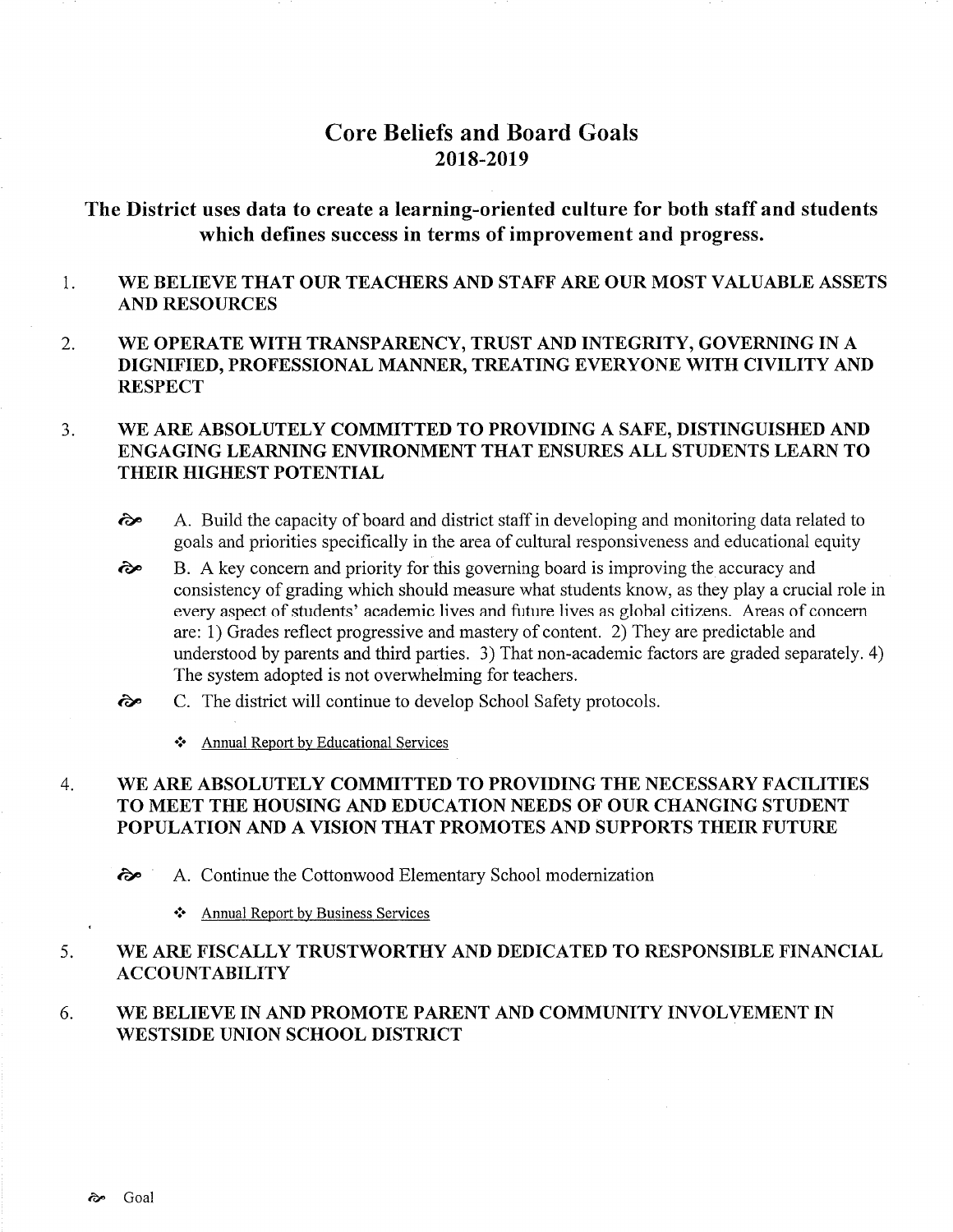# Core Beliefs and Board Goals 2018-2019

## The District uses data to create a learning-oriented culture for both staff and students which defines success in terms of improvement and progress.

#### 1 WE BELIEVE THAT OUR TEACHERS AND STAFF ARE OUR MOST VALUABLE ASSETS AND RESOURCES

2. WE OPERATE WITH TRANSPARENCY, TRUST AND INTEGRITY, GOVERNING IN A DIGNIFIED, PROFESSIONAL MANNER, TREATING EVERYONE WITH CIVILITY AND **RESPECT** 

### WE ARE ABSOLUTELY COMMITTED TO PROVIDING A SAFE, DISTINGUISHED AND ENGAGING LEARNING ENVIRONMENT THAT ENSURES ALL STUDENTS LEARN TO THEIR HIGHEST POTENTIAL 3.

- $\lambda$  A. Build the capacity of board and district staff in developing and monitoring data related to goals and priorities specifically in the area of cultural responsiveness and educational equity
- B. A key concem and priority for this governing board is improving the accuracy and consistency of grading which should measure what students know, as they play a crucial role in every aspect of students' academic lives and future lives as global citizens. Areas of concem are: 1) Grades reflect progressive and mastery of content. 2) They are predictable and understood by parents and third parties. 3) That non-academic factors are graded separately. 4) The system adopted is not overwhelming for teachers.  $\hat{\sigma}$
- C. The district will continue to develop School Safety protocols.  $\hat{\sigma}$ 
	- \* Annual Report by Educational Services

### WE ARE ABSOLUTELY COMMITTED TO PROVIDING THE NECESSARY FACILITIES TO MEET THE HOUSING AND EDUCATION NEEDS OF OUR CHANGING STUDENT POPULATION AND A VISION THAT PROMOTES AND SUPPORTS THEIR FUTURE 4

èp A. Continue the Cottonwood Elementary School modemization

❖ Annual Report by Business Services

#### WE ARE FISCALLY TRUSTWORTHY AND DEDICATED TO RESPONSIBLE FINANCIAL ACCOUNTABILITY 5

#### WE BELIEVE IN AND PROMOTE PARENT AND COMMUNITY INVOLVEMENT IN WESTSIDE UNION SCHOOL DISTRICT 6.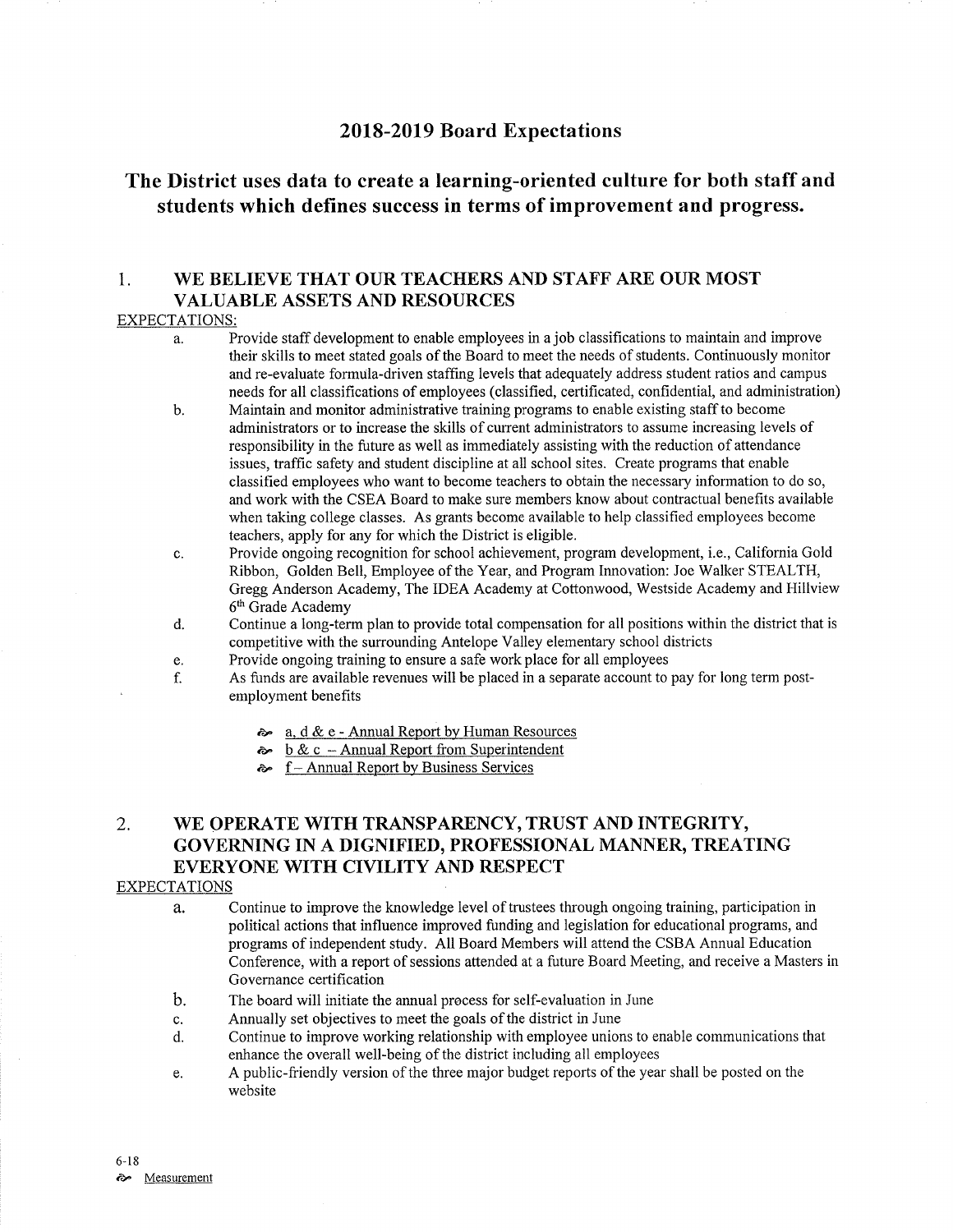## 2018-2019 Board Expectations

## The District uses data to create a learning-oriented culture for both staff and students which defines success in terms of improvement and progress.

## 1. WE BELIEVE THAT OUR TEACHERS AND STAFF ARE OUR MOST VALUABLE ASSETS AND RESOURCES

### EXPECTATIONS:

- a. Provide staff development to enable employees in a job classifications to maintain and improve their skills to meet stated goals of the Board to meet the needs of students. Continuously monitor and re-evaluate formula-driven staffing levels that adequately address student ratios and campus needs for all classifications of employees (classified, certificated, confidential, and administration)
- b. Maintain and monitor administrative training programs to enable existing staff to become administrators or to increase the skills of curent administrators to assume increasing levels of responsibility in the future as well as immediately assisting with the reduction of attendance issues, trafhc safety and sfudent discipline at all school sites. Create programs that enable classifred employees who want to become teachers to obtain the necessary information to do so, and work with the CSEA Board to make sure members know about contractual benefits available when taking college classes. As grants become available to help classified employees become teachers, apply for any for which the District is eligible.
- c. Provide ongoing recognition for school achievement, program development, i.e., California Gold Ribbon, Golden Bell, Employee of the Year, and Program Innovation: Joe Walker STEALTH, Gregg Anderson Academy, The IDEA Academy at Cottonwood, Westside Academy and Hillview  $6<sup>th</sup>$  Grade Academy d. Continue a long-term plan to provide total compensation for all positions within the district that is
- competitive with the surrounding Antelope Valley elementary school districts<br>Provide ongoing training to ensure a safe work place for all employees
- 
- e. Provide ongoing training to ensure a safe work place for all employees<br>f. As funds are available revenues will be placed in a separate account to pay for long term post-<br>employment benefits
	- $\approx a$ , d & e Annual Report by Human Resources
	- $\sim b \& c$  Annual Report from Superintendent
	- $\approx$  f Annual Report by Business Services

## 2. WE OPERATE WITH TRANSPARENCY, TRUST AND INTEGRITY, GOVERNING IN A DIGNIFIED, PROFESSIONAL MANNER, TREATING EVERYONE WITH CIVILITY AND RESPECT

### EXPECTATIONS

- a. Continue to improve the knowledge level of trustees through ongoing training, participation in political actions that influence improved funding and legislation for educational programs, and programs of independent study. All Board Members will attend the CSBA Annual Education Conference, with a report of sessions attended at a future Board Meeting, and receive a Masters in Governance certification
- b. The board will initiate the annual process for self-evaluation in June
- c. Annually set objectives to meet the goals of the district in June
- d. Continue to improve working relationship with employee unions to enable communications that enhance the overall well-being of the district including all employees
- e. A public-friendly version of the three major budget reports of the year shall be posted on the website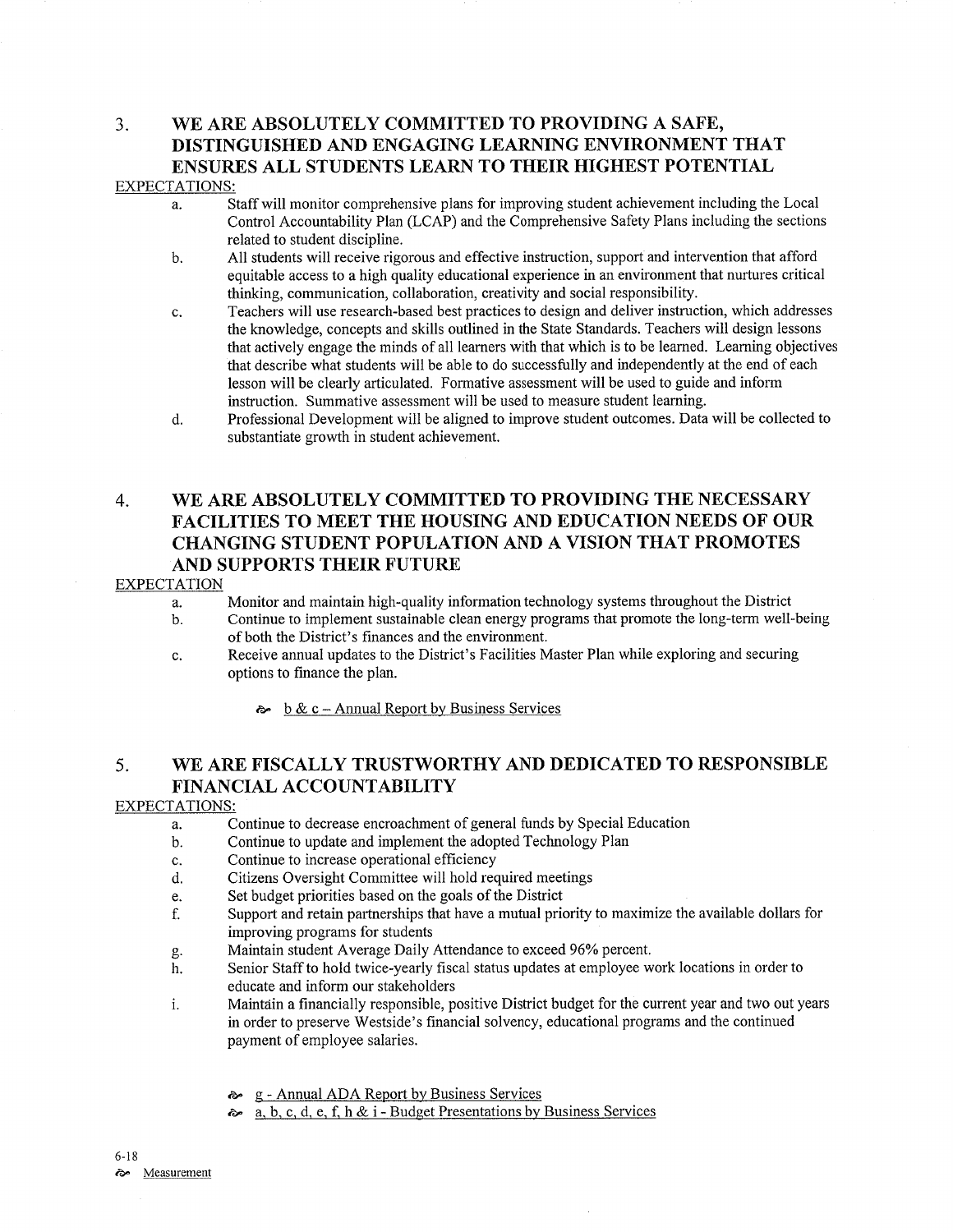## 3. \ryE ARE ABSOLUTELY COMMITTED TO PROVIDING A SAFE, DISTINGUISHED AND ENGAGING LEARNING ENVIRONMENT THAT ENSURES ALL STUDENTS LEARN TO THEIR HIGHEST POTENTIAL EXPECTATIONS:

- a. Staff will monitor comprehensive plans for improving student achievement including the Local Control Accountability Plan (LCAP) and the Comprehensive Safety Plans including the sections related to student discipline.
- b. All students will receive rigorous and effective instruction, support and intervention that afford equitable access to a high quality educational experience in an environment that nurtures critical thinking, communication, collaboration, creativity and social responsibilify.
- c. Teachers will use research-based best practices to design and deliver instruction, which addresses the knowledge, concepts and skills outlined in the State Standards. Teachers will design lessons that actively engage the minds of all leamers with that which is to be leamed. Leaming objectives that describe what students will be able to do successfully and independently at the end of each lesson will be clearly articulated. Formative assessment will be used to guide and inform instruction. Summative assessment will be used to measure student leaming.
- d. Professional Development will be aligned to improve student outcomes. Data will be collected to substantiate growth in student achievement.

## 4. WE ARE ABSOLUTELY COMMITTED TO PROVIDING THE NECESSARY FACILITIES TO MEET THE HOUSING AND EDUCATION NEEDS OF OUR CHANGING STUDENT POPULATION AND A VISION THAT PROMOTES AND SUPPORTS THEIR FUTURE

## EXPECTATION

- a. Monitor and maintain high-quality information technology systems throughout the District
- b. Continue to implement sustainable clean energy programs that promote the long-term well-being of both the District's finances and the environment.
- c. Receive annual updates to the District's Facilities Master Plan while exploring and securing options to finance the plan.
	- $\approx \frac{b \& c \text{Annual Report by Business Services}}{}$

## 5. WE ARE FISCALLY TRUSTWORTHY AND DEDICATED TO RESPONSIBLE FINANCIAL ACCOUNTABILITY

### EXPECTATIONS:

- a. Continue to decrease encroachment of general funds by Special Education
- b. Continue to update and implement the adopted Technology Plan
- c. Continue to increase operational efficiency
- d. Citizens Oversight Committee will hold required meetings
- e. Set budget priorities based on the goals of the District
- f. Support and retain paftnerships that have a mutual priority to maximize the available dollars for
- improving programs for students<br>Maintain student Average Daily Attendance to exceed 96% percent.
- g. Maintain student Average Daily Attendance to exceed 96% percent.<br>h. Senior Staff to hold twice-yearly fiscal status updates at employee work locations in order to educate and inform our stakeholders
- i. Maintain a financially responsible, positive District budget for the current year and two out years in order to preserve Westside's financial solvency, educational programs and the continued payment of employee salaries.
	- & g Annual ADA Report by Business Services
	- $\approx a, b, c, d, e, f, h & i$  Budget Presentations by Business Services